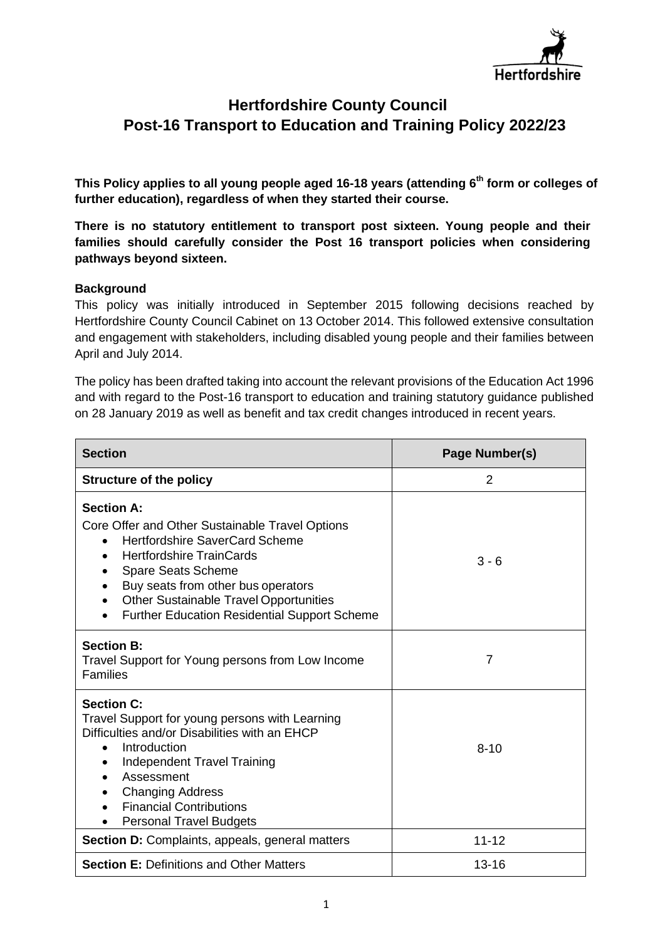

# **Hertfordshire County Council Post-16 Transport to Education and Training Policy 2022/23**

 **This Policy applies to all young people aged 16-18 years (attending 6th form or colleges of further education), regardless of when they started their course.** 

 **There is no statutory entitlement to transport post sixteen. Young people and their families should carefully consider the Post 16 transport policies when considering pathways beyond sixteen.** 

### **Background**

 This policy was initially introduced in September 2015 following decisions reached by Hertfordshire County Council Cabinet on 13 October 2014. This followed extensive consultation and engagement with stakeholders, including disabled young people and their families between April and July 2014.

 The policy has been drafted taking into account the relevant provisions of the Education Act 1996 and with regard to the Post-16 transport to education and training statutory guidance published on 28 January 2019 as well as benefit and tax credit changes introduced in recent years.

| <b>Section</b>                                                                                                                                                                                                                                                                                                       | Page Number(s) |  |  |
|----------------------------------------------------------------------------------------------------------------------------------------------------------------------------------------------------------------------------------------------------------------------------------------------------------------------|----------------|--|--|
| <b>Structure of the policy</b>                                                                                                                                                                                                                                                                                       | 2              |  |  |
| <b>Section A:</b><br>Core Offer and Other Sustainable Travel Options<br><b>Hertfordshire SaverCard Scheme</b><br><b>Hertfordshire TrainCards</b><br>Spare Seats Scheme<br>Buy seats from other bus operators<br><b>Other Sustainable Travel Opportunities</b><br><b>Further Education Residential Support Scheme</b> | $3 - 6$        |  |  |
| <b>Section B:</b><br>Travel Support for Young persons from Low Income<br><b>Families</b>                                                                                                                                                                                                                             | $\overline{7}$ |  |  |
| <b>Section C:</b><br>Travel Support for young persons with Learning<br>Difficulties and/or Disabilities with an EHCP<br>Introduction<br>Independent Travel Training<br>Assessment<br><b>Changing Address</b><br><b>Financial Contributions</b><br><b>Personal Travel Budgets</b>                                     | $8 - 10$       |  |  |
| <b>Section D: Complaints, appeals, general matters</b>                                                                                                                                                                                                                                                               | $11 - 12$      |  |  |
| <b>Section E: Definitions and Other Matters</b>                                                                                                                                                                                                                                                                      | $13 - 16$      |  |  |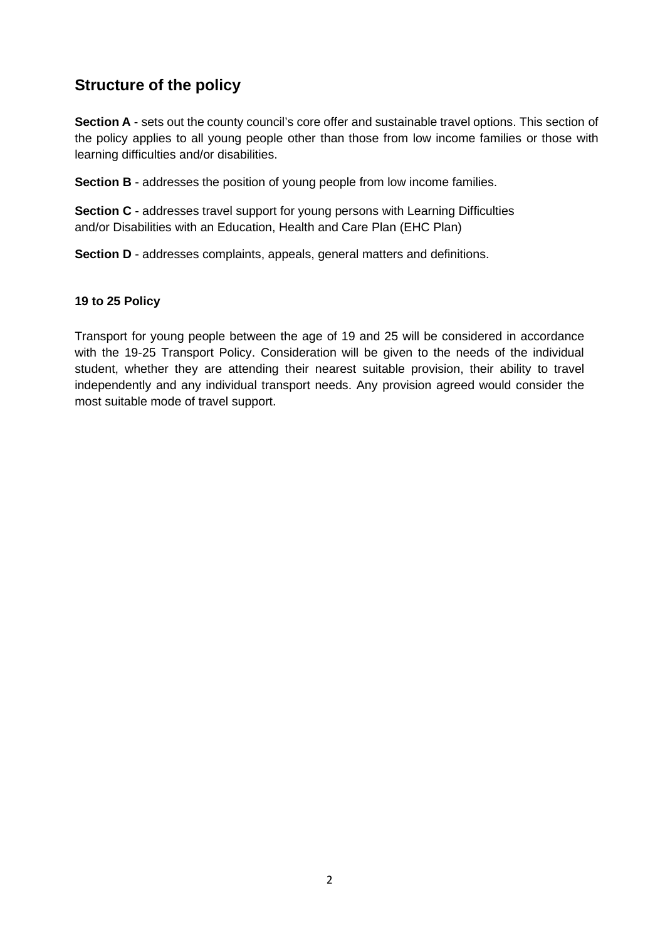# **Structure of the policy**

Section A - sets out the county council's core offer and sustainable travel options. This section of the policy applies to all young people other than those from low income families or those with learning difficulties and/or disabilities.

**Section B** - addresses the position of young people from low income families.

 **Section C** - addresses travel support for young persons with Learning Difficulties and/or Disabilities with an Education, Health and Care Plan (EHC Plan)

**Section D** - addresses complaints, appeals, general matters and definitions.

### **19 to 25 Policy**

 Transport for young people between the age of 19 and 25 will be considered in accordance with the 19-25 Transport Policy. Consideration will be given to the needs of the individual student, whether they are attending their nearest suitable provision, their ability to travel independently and any individual transport needs. Any provision agreed would consider the most suitable mode of travel support.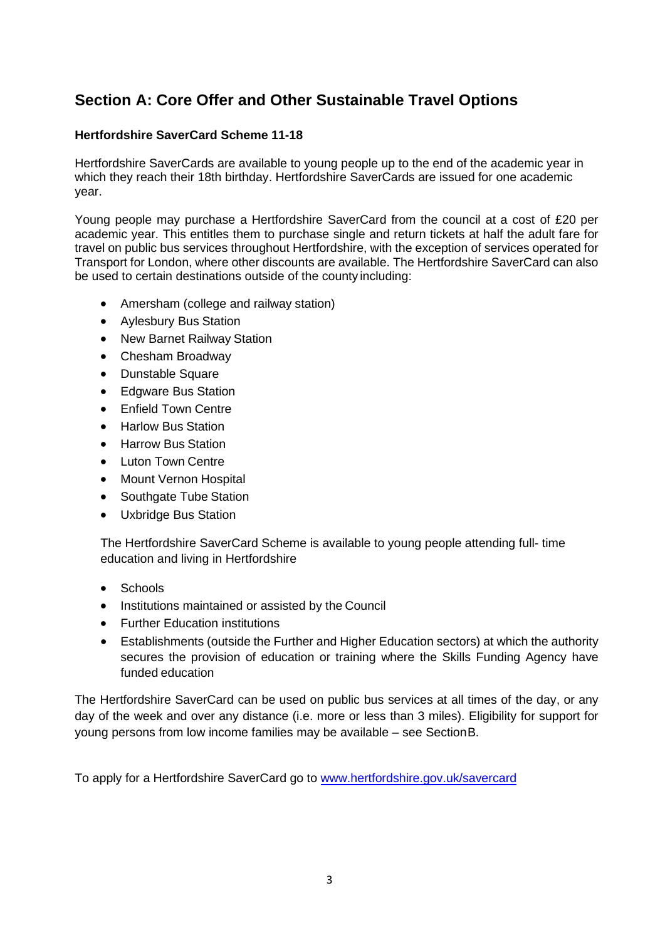# **Section A: Core Offer and Other Sustainable Travel Options**

## **Hertfordshire SaverCard Scheme 11-18**

 Hertfordshire SaverCards are available to young people up to the end of the academic year in which they reach their 18th birthday. Hertfordshire SaverCards are issued for one academic year.

 Young people may purchase a Hertfordshire SaverCard from the council at a cost of £20 per academic year. This entitles them to purchase single and return tickets at half the adult fare for travel on public bus services throughout Hertfordshire, with the exception of services operated for Transport for London, where other discounts are available. The Hertfordshire SaverCard can also be used to certain destinations outside of the county including:

- Amersham (college and railway station)
- Aylesbury Bus Station
- New Barnet Railway Station
- Chesham Broadway
- Dunstable Square
- Edgware Bus Station
- **•** Enfield Town Centre
- Harlow Bus Station
- Harrow Bus Station
- Luton Town Centre
- Mount Vernon Hospital
- Southgate Tube Station
- Uxbridge Bus Station

 The Hertfordshire SaverCard Scheme is available to young people attending full- time education and living in Hertfordshire

- Schools
- **•** Institutions maintained or assisted by the Council
- Further Education institutions
- Establishments (outside the Further and Higher Education sectors) at which the authority secures the provision of education or training where the Skills Funding Agency have funded education

 The Hertfordshire SaverCard can be used on public bus services at all times of the day, or any day of the week and over any distance (i.e. more or less than 3 miles). Eligibility for support for young persons from low income families may be available – see SectionB.

To apply for a Hertfordshire SaverCard go to www.hertfordshire.gov.uk/savercard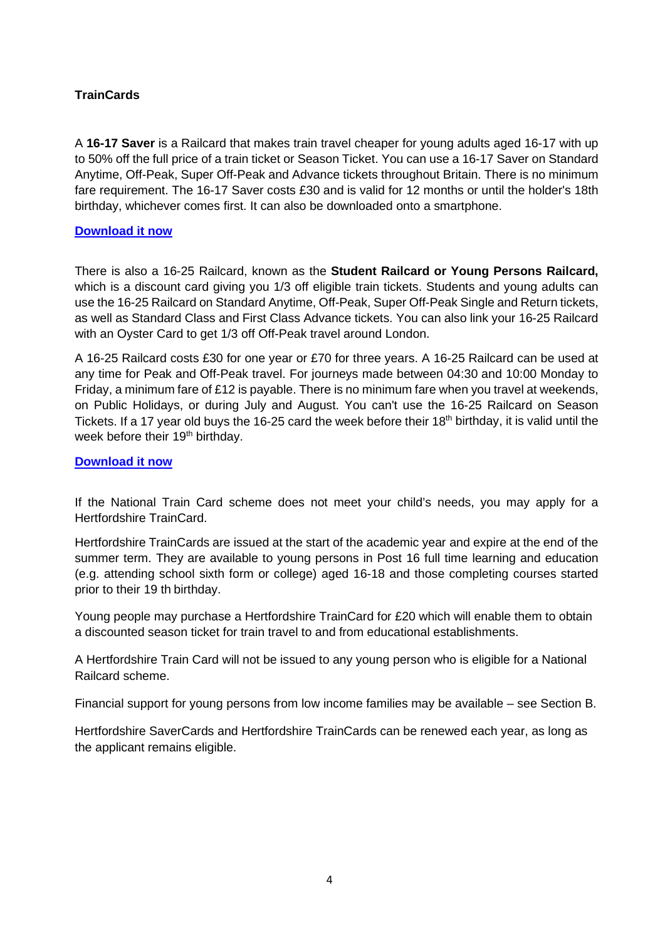## **TrainCards**

 A **16-17 Saver** is a Railcard that makes train travel cheaper for young adults aged 16-17 with up to 50% off the full price of a train ticket or Season Ticket. You can use a 16-17 Saver on Standard Anytime, Off-Peak, Super Off-Peak and Advance tickets throughout Britain. There is no minimum fare requirement. The 16-17 Saver costs £30 and is valid for 12 months or until the holder's 18th birthday, whichever comes first. It can also be downloaded onto a smartphone.

### **[Download it now](https://2n8w.app.link/e/eP6l7bIkVZ)**

 There is also a 16-25 Railcard, known as the **Student Railcard or Young Persons Railcard,**  which is a discount card giving you 1/3 off eligible train tickets. Students and young adults can use the 16-25 Railcard on Standard Anytime, Off-Peak, Super Off-Peak Single and Return tickets, as well as Standard Class and First Class Advance tickets. You can also link your 16-25 Railcard with an Oyster Card to get 1/3 off Off-Peak travel around London.

 A 16-25 Railcard costs £30 for one year or £70 for three years. A 16-25 Railcard can be used at any time for Peak and Off-Peak travel. For journeys made between 04:30 and 10:00 Monday to Friday, a minimum fare of £12 is payable. There is no minimum fare when you travel at weekends, on Public Holidays, or during July and August. You can't use the 16-25 Railcard on Season Tickets. If a 17 year old buys the 16-25 card the week before their 18<sup>th</sup> birthday, it is valid until the week before their 19<sup>th</sup> birthday.

### **[Download it now](https://2n8w.app.link/e/eP6l7bIkVZ)**

 If the National Train Card scheme does not meet your child's needs, you may apply for a Hertfordshire TrainCard.

 Hertfordshire TrainCards are issued at the start of the academic year and expire at the end of the summer term. They are available to young persons in Post 16 full time learning and education (e.g. attending school sixth form or college) aged 16-18 and those completing courses started prior to their 19 th birthday.

 Young people may purchase a Hertfordshire TrainCard for £20 which will enable them to obtain a discounted season ticket for train travel to and from educational establishments.

 A Hertfordshire Train Card will not be issued to any young person who is eligible for a National Railcard scheme.

Financial support for young persons from low income families may be available – see Section B.

 Hertfordshire SaverCards and Hertfordshire TrainCards can be renewed each year, as long as the applicant remains eligible.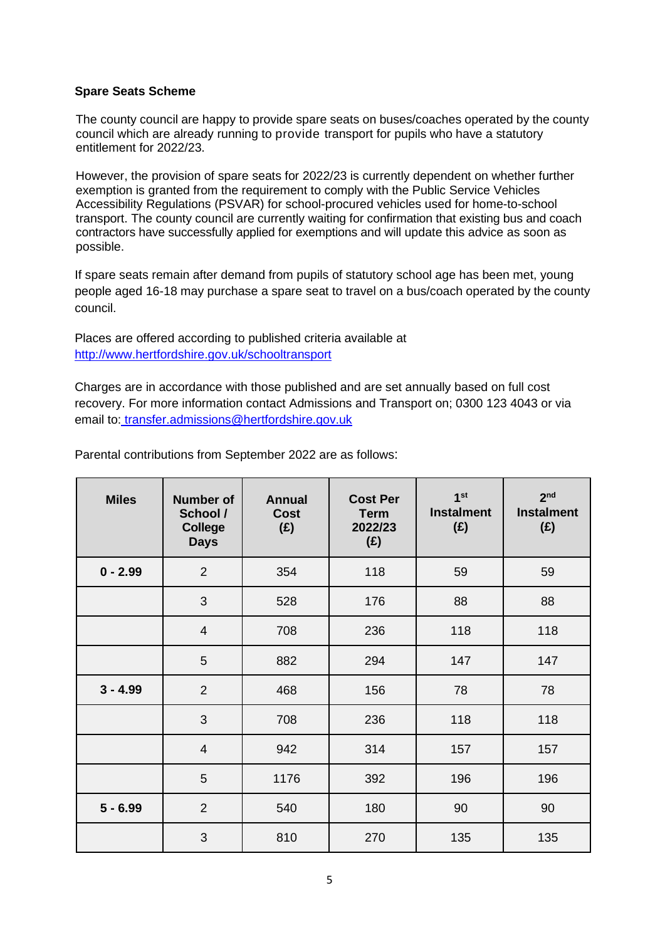### **Spare Seats Scheme**

 The county council are happy to provide spare seats on buses/coaches operated by the county council which are already running to provide transport for pupils who have a statutory entitlement for 2022/23.

 However, the provision of spare seats for 2022/23 is currently dependent on whether further exemption is granted from the requirement to comply with the Public Service Vehicles Accessibility Regulations (PSVAR) for school-procured vehicles used for home-to-school transport. The county council are currently waiting for confirmation that existing bus and coach contractors have successfully applied for exemptions and will update this advice as soon as possible.

 If spare seats remain after demand from pupils of statutory school age has been met, young people aged 16-18 may purchase a spare seat to travel on a bus/coach operated by the county council.

 Places are offered according to published criteria available at <http://www.hertfordshire.gov.uk/schooltransport>

 Charges are in accordance with those published and are set annually based on full cost recovery. For more information contact Admissions and Transport on; 0300 123 4043 or via email to[: transfer.admissions@hertfordshire.gov.uk](mailto:%20transfer.admissions@hertfordshire.gov.uk) 

| <b>Miles</b> | <b>Number of</b><br>School /<br><b>College</b><br><b>Days</b> | <b>Annual</b><br><b>Cost</b><br>(E) | <b>Cost Per</b><br><b>Term</b><br>2022/23<br>(E) | 1 <sup>st</sup><br><b>Instalment</b><br>(E) | 2 <sub>nd</sub><br><b>Instalment</b><br>(E) |
|--------------|---------------------------------------------------------------|-------------------------------------|--------------------------------------------------|---------------------------------------------|---------------------------------------------|
| $0 - 2.99$   | $\overline{2}$                                                | 354                                 | 118                                              | 59                                          | 59                                          |
|              | 3                                                             | 528                                 | 176                                              | 88                                          | 88                                          |
|              | $\overline{4}$                                                | 708                                 | 236                                              | 118                                         | 118                                         |
|              | 5                                                             | 882                                 | 294                                              | 147                                         | 147                                         |
| $3 - 4.99$   | $\overline{2}$                                                | 468                                 | 156                                              | 78                                          | 78                                          |
|              | 3                                                             | 708                                 | 236                                              | 118                                         | 118                                         |
|              | $\overline{4}$                                                | 942                                 | 314                                              | 157                                         | 157                                         |
|              | 5                                                             | 1176                                | 392                                              | 196                                         | 196                                         |
| $5 - 6.99$   | $\overline{2}$                                                | 540                                 | 180                                              | 90                                          | 90                                          |
|              | 3                                                             | 810                                 | 270                                              | 135                                         | 135                                         |

Parental contributions from September 2022 are as follows: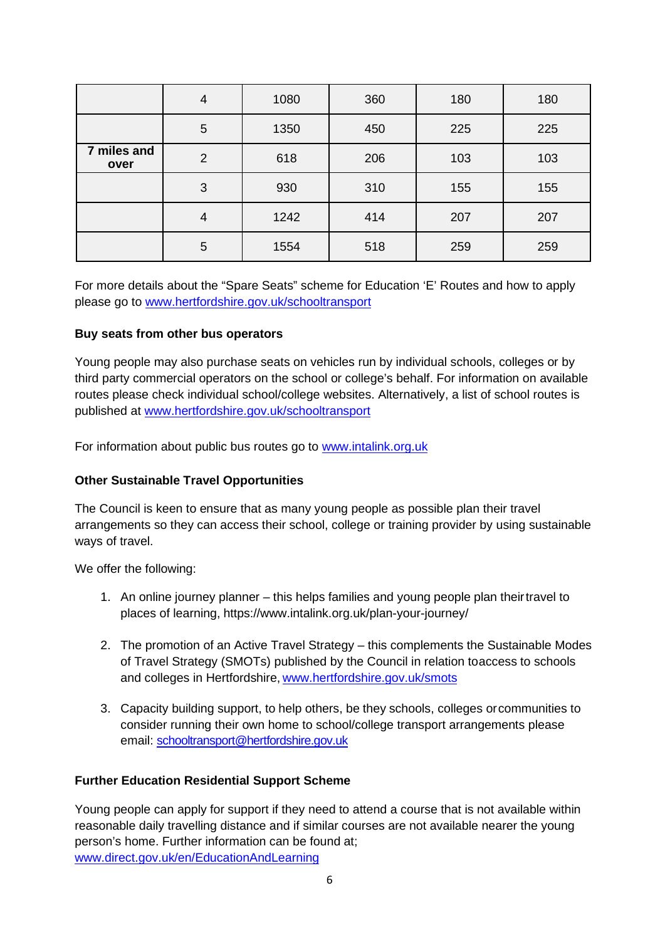|                     | 4              | 1080 | 360 | 180 | 180 |
|---------------------|----------------|------|-----|-----|-----|
|                     | 5              | 1350 | 450 | 225 | 225 |
| 7 miles and<br>over | $\overline{2}$ | 618  | 206 | 103 | 103 |
|                     | 3              | 930  | 310 | 155 | 155 |
|                     | $\overline{4}$ | 1242 | 414 | 207 | 207 |
|                     | 5              | 1554 | 518 | 259 | 259 |

 For more details about the "Spare Seats" scheme for Education 'E' Routes and how to apply please go to www.hertfordshire.gov.uk/schooltransport

## **Buy seats from other bus operators**

 Young people may also purchase seats on vehicles run by individual schools, colleges or by third party commercial operators on the school or college's behalf. For information on available routes please check individual school/college websites. Alternatively, a list of school routes is published at [www.hertfordshire.gov.uk/schooltransport](http://www.hertfordshire.gov.uk/schooltransport) 

For information about public bus routes go to [www.intalink.org.uk](http://www.intalink.org.uk/) 

## **Other Sustainable Travel Opportunities**

 The Council is keen to ensure that as many young people as possible plan their travel arrangements so they can access their school, college or training provider by using sustainable ways of travel.

We offer the following:

- 1. An online journey planner this helps families and young people plan theirtravel to places of learning, https:/[/www.intalink.org.uk/plan-your-journey/](http://www.intalink.org.uk/plan-your-journey/)
- 2. The promotion of an Active Travel Strategy this complements the Sustainable Modes of Travel Strategy (SMOTs) published by the Council in relation toaccess to schools and colleges in Hertfordshire, www.hertfordshire.gov.uk/smots
- 3. Capacity building support, to help others, be they schools, colleges orcommunities to consider running their own home to school/college transport arrangements please email: [schooltransport@hertfordshire.gov.uk](mailto:schooltransport@hertfordshire.gov.uk)

## **Further Education Residential Support Scheme**

 Young people can apply for support if they need to attend a course that is not available within reasonable daily travelling distance and if similar courses are not available nearer the young person's home. Further information can be found at; [www.direct.gov.uk/en/EducationAndLearning](http://www.direct.gov.uk/en/EducationAndLearning)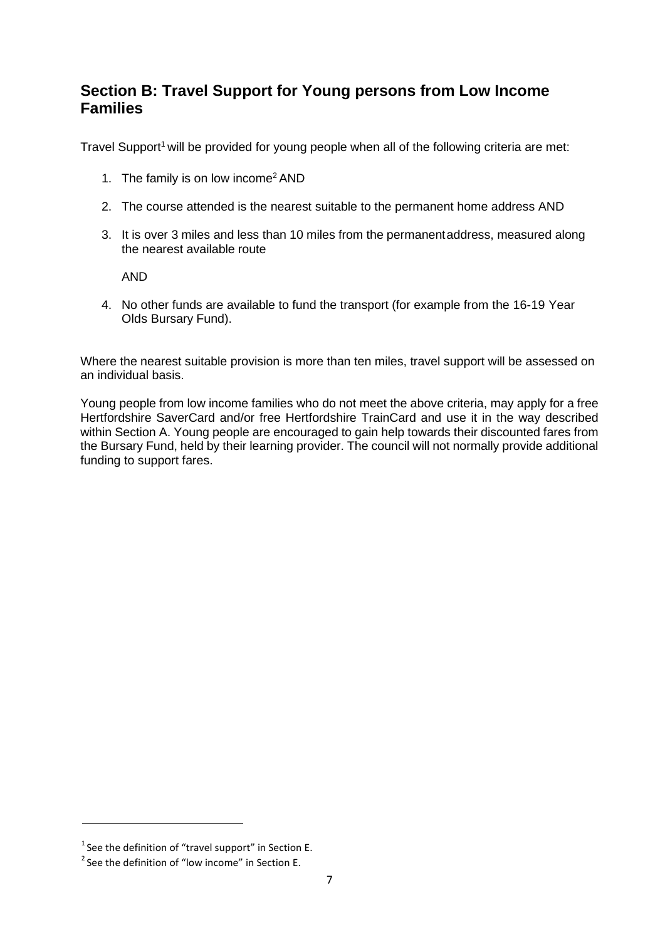# **Section B: Travel Support for Young persons from Low Income Families**

Travel Support<sup>1</sup> will be provided for young people when all of the following criteria are met:

- 1. The family is on low income $2$  AND
- 2. The course attended is the nearest suitable to the permanent home address AND
- 3. It is over 3 miles and less than 10 miles from the permanentaddress, measured along the nearest available route

AND

 4. No other funds are available to fund the transport (for example from the 16-19 Year Olds Bursary Fund).

 Where the nearest suitable provision is more than ten miles, travel support will be assessed on an individual basis.

 Young people from low income families who do not meet the above criteria, may apply for a free Hertfordshire SaverCard and/or free Hertfordshire TrainCard and use it in the way described within Section A. Young people are encouraged to gain help towards their discounted fares from the Bursary Fund, held by their learning provider. The council will not normally provide additional funding to support fares.

 $1$  See the definition of "travel support" in Section E.

 $2$  See the definition of "low income" in Section E.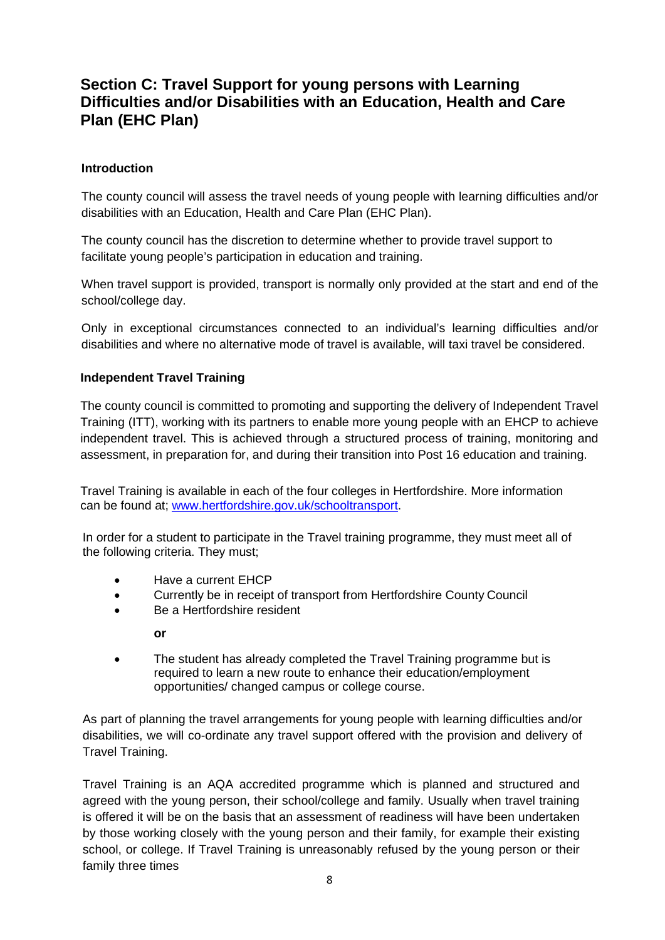# **Section C: Travel Support for young persons with Learning Difficulties and/or Disabilities with an Education, Health and Care Plan (EHC Plan)**

## **Introduction**

 The county council will assess the travel needs of young people with learning difficulties and/or disabilities with an Education, Health and Care Plan (EHC Plan).

 The county council has the discretion to determine whether to provide travel support to facilitate young people's participation in education and training.

 When travel support is provided, transport is normally only provided at the start and end of the school/college day.

 Only in exceptional circumstances connected to an individual's learning difficulties and/or disabilities and where no alternative mode of travel is available, will taxi travel be considered.

## **Independent Travel Training**

 The county council is committed to promoting and supporting the delivery of Independent Travel Training (ITT), working with its partners to enable more young people with an EHCP to achieve independent travel. This is achieved through a structured process of training, monitoring and assessment, in preparation for, and during their transition into Post 16 education and training.

 Travel Training is available in each of the four colleges in Hertfordshire. More information can be found at; [www.hertfordshire.gov.uk/schooltransport.](http://www.hertfordshire.gov.uk/schooltransport)

 In order for a student to participate in the Travel training programme, they must meet all of the following criteria. They must;

- Have a current EHCP
- Currently be in receipt of transport from Hertfordshire County Council
- Be a Hertfordshire resident

**or** 

• The student has already completed the Travel Training programme but is required to learn a new route to enhance their education/employment opportunities/ changed campus or college course.

 As part of planning the travel arrangements for young people with learning difficulties and/or disabilities, we will co-ordinate any travel support offered with the provision and delivery of Travel Training.

 Travel Training is an AQA accredited programme which is planned and structured and agreed with the young person, their school/college and family. Usually when travel training is offered it will be on the basis that an assessment of readiness will have been undertaken by those working closely with the young person and their family, for example their existing school, or college. If Travel Training is unreasonably refused by the young person or their family three times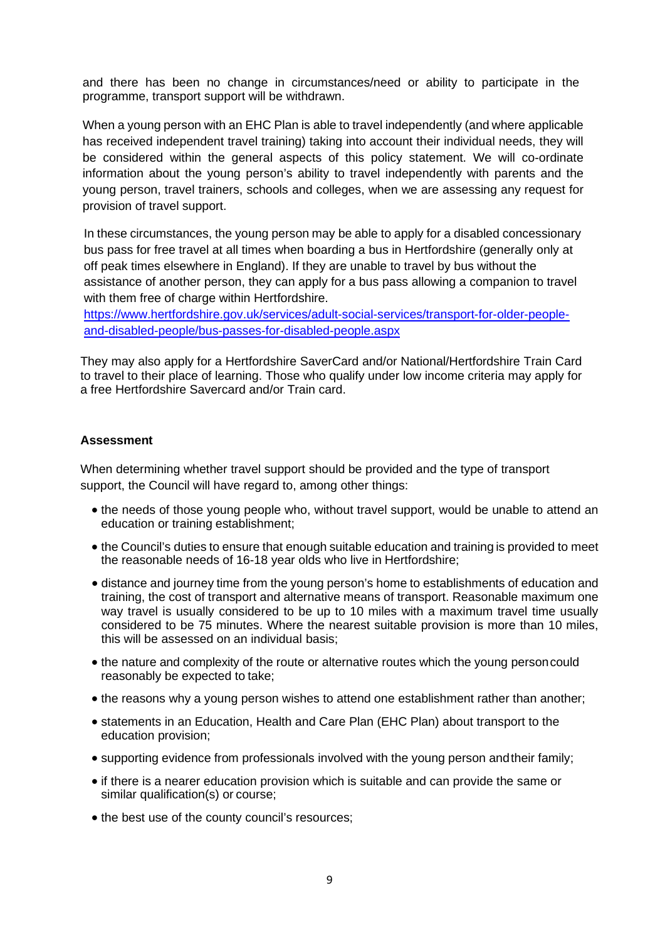and there has been no change in circumstances/need or ability to participate in the programme, transport support will be withdrawn.

 When a young person with an EHC Plan is able to travel independently (and where applicable has received independent travel training) taking into account their individual needs, they will be considered within the general aspects of this policy statement. We will co-ordinate information about the young person's ability to travel independently with parents and the young person, travel trainers, schools and colleges, when we are assessing any request for provision of travel support.

 In these circumstances, the young person may be able to apply for a disabled concessionary bus pass for free travel at all times when boarding a bus in Hertfordshire (generally only at off peak times elsewhere in England). If they are unable to travel by bus without the assistance of another person, they can apply for a bus pass allowing a companion to travel with them free of charge within Hertfordshire.

[https://www.hertfordshire.gov.uk/services/adult-social-services/transport-for-older-people](https://www.hertfordshire.gov.uk/services/adult-social-services/transport-for-older-people-and-disabled-people/bus-passes-for-disabled-people.aspx)[and-disabled-people/bus-passes-for-disabled-people.aspx](https://www.hertfordshire.gov.uk/services/adult-social-services/transport-for-older-people-and-disabled-people/bus-passes-for-disabled-people.aspx) 

 They may also apply for a Hertfordshire SaverCard and/or National/Hertfordshire Train Card to travel to their place of learning. Those who qualify under low income criteria may apply for a free Hertfordshire Savercard and/or Train card.

#### **Assessment**

 When determining whether travel support should be provided and the type of transport support, the Council will have regard to, among other things:

- the needs of those young people who, without travel support, would be unable to attend an education or training establishment;
- the Council's duties to ensure that enough suitable education and training is provided to meet the reasonable needs of 16-18 year olds who live in Hertfordshire;
- distance and journey time from the young person's home to establishments of education and training, the cost of transport and alternative means of transport. Reasonable maximum one way travel is usually considered to be up to 10 miles with a maximum travel time usually considered to be 75 minutes. Where the nearest suitable provision is more than 10 miles, this will be assessed on an individual basis;
- the nature and complexity of the route or alternative routes which the young personcould reasonably be expected to take;
- the reasons why a young person wishes to attend one establishment rather than another;
- statements in an Education, Health and Care Plan (EHC Plan) about transport to the education provision;
- supporting evidence from professionals involved with the young person andtheir family;
- if there is a nearer education provision which is suitable and can provide the same or similar qualification(s) or course;
- $\bullet$  the best use of the county council's resources;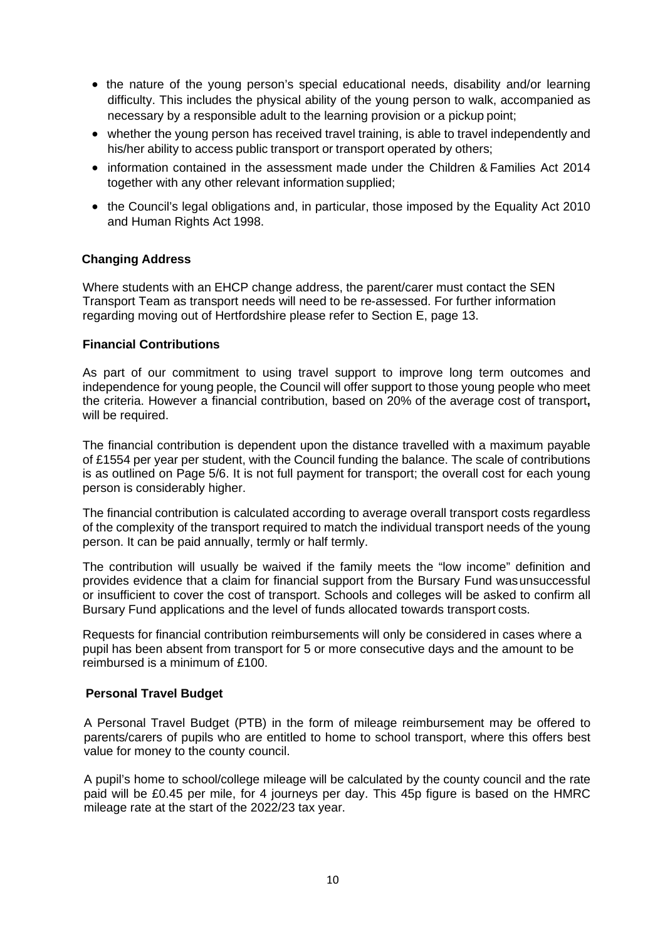- the nature of the young person's special educational needs, disability and/or learning difficulty. This includes the physical ability of the young person to walk, accompanied as necessary by a responsible adult to the learning provision or a pickup point;
- whether the young person has received travel training, is able to travel independently and his/her ability to access public transport or transport operated by others;
- information contained in the assessment made under the Children & Families Act 2014 together with any other relevant information supplied;
- the Council's legal obligations and, in particular, those imposed by the Equality Act 2010 and Human Rights Act 1998.

### **Changing Address**

 Where students with an EHCP change address, the parent/carer must contact the SEN Transport Team as transport needs will need to be re-assessed. For further information regarding moving out of Hertfordshire please refer to Section E, page 13.

### **Financial Contributions**

 As part of our commitment to using travel support to improve long term outcomes and independence for young people, the Council will offer support to those young people who meet the criteria. However a financial contribution, based on 20% of the average cost of transport**,**  will be required.

 The financial contribution is dependent upon the distance travelled with a maximum payable of £1554 per year per student, with the Council funding the balance. The scale of contributions is as outlined on Page 5/6. It is not full payment for transport; the overall cost for each young person is considerably higher.

 The financial contribution is calculated according to average overall transport costs regardless of the complexity of the transport required to match the individual transport needs of the young person. It can be paid annually, termly or half termly.

 The contribution will usually be waived if the family meets the "low income" definition and provides evidence that a claim for financial support from the Bursary Fund was unsuccessful or insufficient to cover the cost of transport. Schools and colleges will be asked to confirm all Bursary Fund applications and the level of funds allocated towards transport costs.

 Requests for financial contribution reimbursements will only be considered in cases where a pupil has been absent from transport for 5 or more consecutive days and the amount to be reimbursed is a minimum of £100.

### **Personal Travel Budget**

 A Personal Travel Budget (PTB) in the form of mileage reimbursement may be offered to parents/carers of pupils who are entitled to home to school transport, where this offers best value for money to the county council.

 A pupil's home to school/college mileage will be calculated by the county council and the rate paid will be £0.45 per mile, for 4 journeys per day. This 45p figure is based on the HMRC mileage rate at the start of the 2022/23 tax year.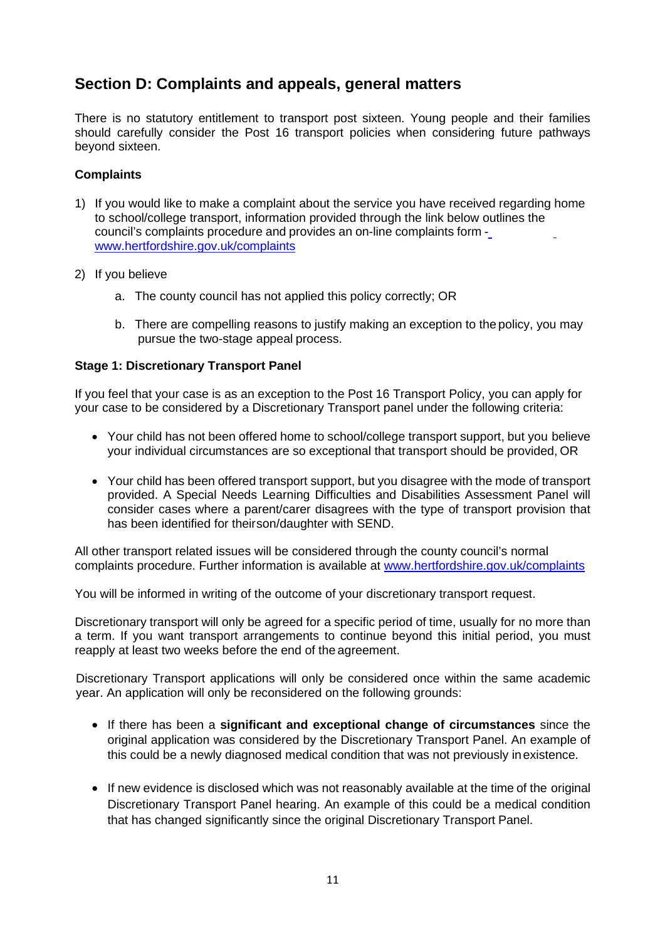# **Section D: Complaints and appeals, general matters**

 There is no statutory entitlement to transport post sixteen. Young people and their families should carefully consider the Post 16 transport policies when considering future pathways beyond sixteen.

## **Complaints**

- 1) If you would like to make a complaint about the service you have received regarding home to school/college transport, information provided through the link below [outlines the](http://www.hertfordshire.gov.uk/complaints)  council's complaints procedure and provides an on-line complaints form [www.hertfordshire.gov.uk/complaints](http://www.hertfordshire.gov.uk/complaints)
- 2) If you believe
	- a. The county council has not applied this policy correctly; OR
	- b. There are compelling reasons to justify making an exception to the policy, you may pursue the two-stage appeal process.

## **Stage 1: Discretionary Transport Panel**

 If you feel that your case is as an exception to the Post 16 Transport Policy, you can apply for your case to be considered by a Discretionary Transport panel under the following criteria:

- Your child has not been offered home to school/college transport support, but you believe your individual circumstances are so exceptional that transport should be provided, OR
- Your child has been offered transport support, but you disagree with the mode of transport provided. A Special Needs Learning Difficulties and Disabilities Assessment Panel will consider cases where a parent/carer disagrees with the type of transport provision that has been identified for theirson/daughter with SEND.

 All other transport related issues will be considered through the county council's normal complaints procedure. Further information is available at www.hertfordshire.gov.uk/complaints

You will be informed in writing of the outcome of your discretionary transport request.

 Discretionary transport will only be agreed for a specific period of time, usually for no more than a term. If you want transport arrangements to continue beyond this initial period, you must reapply at least two weeks before the end of the agreement.

 Discretionary Transport applications will only be considered once within the same academic year. An application will only be reconsidered on the following grounds:

- If there has been a **significant and exceptional change of circumstances** since the original application was considered by the Discretionary Transport Panel. An example of this could be a newly diagnosed medical condition that was not previously in existence.
- If new evidence is disclosed which was not reasonably available at the time of the original Discretionary Transport Panel hearing. An example of this could be a medical condition that has changed significantly since the original Discretionary Transport Panel.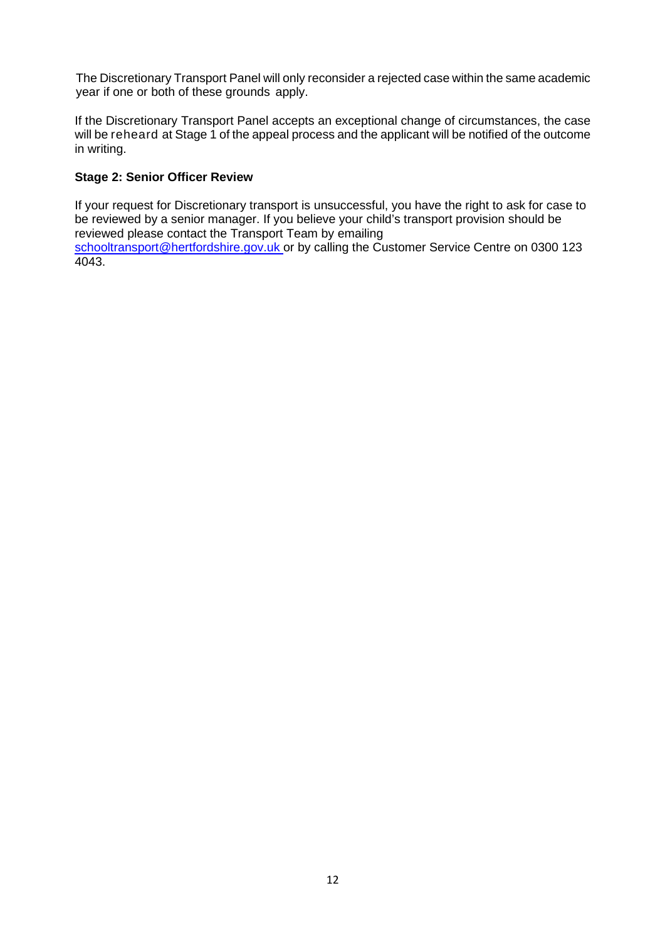The Discretionary Transport Panel will only reconsider a rejected case within the same academic year if one or both of these grounds apply.

 If the Discretionary Transport Panel accepts an exceptional change of circumstances, the case will be reheard at Stage 1 of the appeal process and the applicant will be notified of the outcome in writing.

## **Stage 2: Senior Officer Review**

 If your request for Discretionary transport is unsuccessful, you have the right to ask for case to be reviewed by a senior manager. If you believe your child's transport provision should be reviewed please contact the Transport Team by emailing [schooltransport@hertfordshire.gov.uk o](mailto:schooltransport@hertfordshire.gov.uk)r by calling the Customer Service Centre on 0300 123

4043.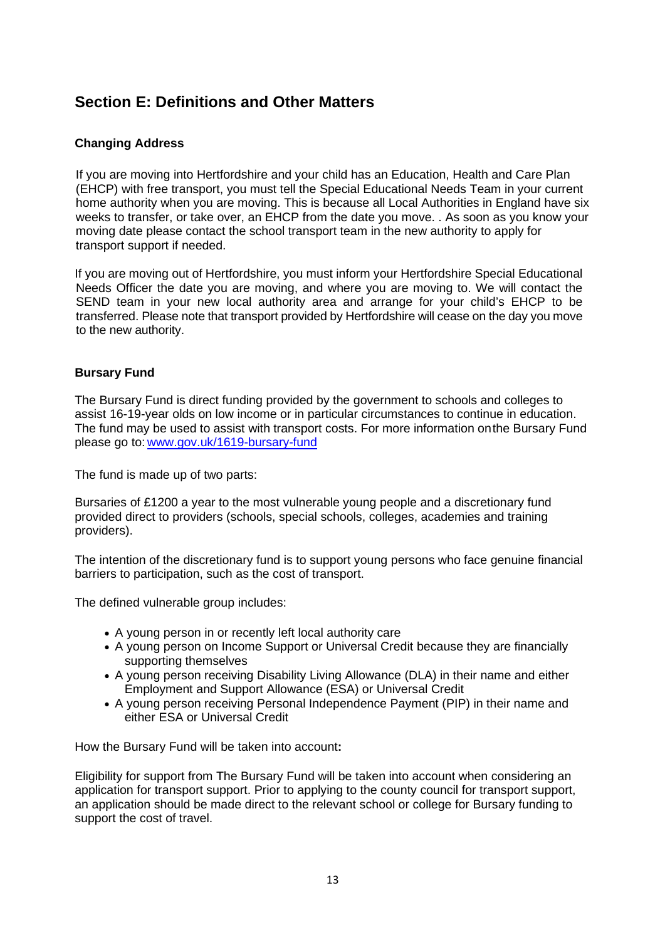# **Section E: Definitions and Other Matters**

## **Changing Address**

 If you are moving into Hertfordshire and your child has an Education, Health and Care Plan (EHCP) with free transport, you must tell the Special Educational Needs Team in your current home authority when you are moving. This is because all Local Authorities in England have six weeks to transfer, or take over, an EHCP from the date you move. . As soon as you know your moving date please contact the school transport team in the new authority to apply for transport support if needed.

 If you are moving out of Hertfordshire, you must inform your Hertfordshire Special Educational Needs Officer the date you are moving, and where you are moving to. We will contact the SEND team in your new local authority area and arrange for your child's EHCP to be transferred. Please note that transport provided by Hertfordshire will cease on the day you move to the new authority.

### **Bursary Fund**

 The Bursary Fund is direct funding provided by the government to schools and colleges to assist 16-19-year olds on low income or in particular circumstances to continue in education. The fund may be used to assist with transport costs. For more information onthe Bursary Fund please go to: www.gov.uk/1619-bursary-fund

The fund is made up of two parts:

 Bursaries of £1200 a year to the most vulnerable young people and a discretionary fund provided direct to providers (schools, special schools, colleges, academies and training providers).

 The intention of the discretionary fund is to support young persons who face genuine financial barriers to participation, such as the cost of transport.

The defined vulnerable group includes:

- A young person in or recently left local authority care
- A young person on Income Support or Universal Credit because they are financially supporting themselves
- A young person receiving Disability Living Allowance (DLA) in their name and either Employment and Support Allowance (ESA) or Universal Credit
- A young person receiving Personal Independence Payment (PIP) in their name and either ESA or Universal Credit

How the Bursary Fund will be taken into account**:** 

 Eligibility for support from The Bursary Fund will be taken into account when considering an application for transport support. Prior to applying to the county council for transport support, an application should be made direct to the relevant school or college for Bursary funding to support the cost of travel.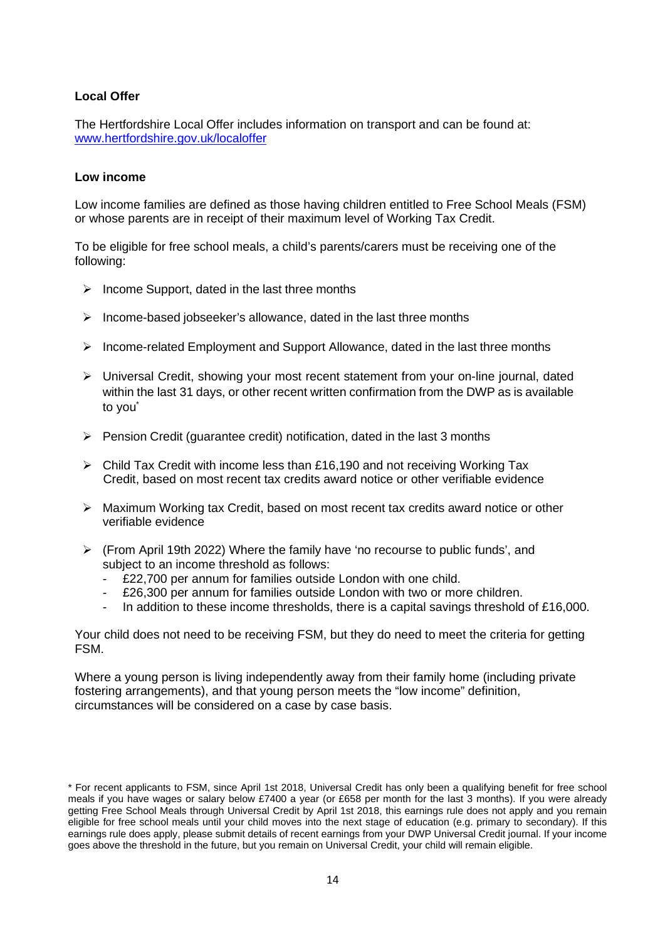## **Local Offer**

 The Hertfordshire Local Offer includes information on transport and can be found at: [www.hertfordshire.gov.uk/localoffer](http://www.hertfordshire.gov.uk/localoffer) 

#### **Low income**

 Low income families are defined as those having children entitled to Free School Meals (FSM) or whose parents are in receipt of their maximum level of Working Tax Credit.

 To be eligible for free school meals, a child's parents/carers must be receiving one of the following:

- $\triangleright$  Income Support, dated in the last three months
- $\triangleright$  Income-based jobseeker's allowance, dated in the last three months
- $\triangleright$  Income-related Employment and Support Allowance, dated in the last three months
- Universal Credit, showing your most recent statement from your on-line journal, dated within the last 31 days, or other recent written confirmation from the DWP as is available to you<sup>\*</sup>
- $\triangleright$  Pension Credit (guarantee credit) notification, dated in the last 3 months
- $\triangleright$  Child Tax Credit with income less than £16,190 and not receiving Working Tax Credit, based on most recent tax credits award notice or other verifiable evidence
- Maximum Working tax Credit, based on most recent tax credits award notice or other verifiable evidence
- (From April 19th 2022) Where the family have 'no recourse to public funds', and subject to an income threshold as follows:
	- £22,700 per annum for families outside London with one child.
	- £26,300 per annum for families outside London with two or more children.
	- In addition to these income thresholds, there is a capital savings threshold of £16,000.

 Your child does not need to be receiving FSM, but they do need to meet the criteria for getting FSM.

 Where a young person is living independently away from their family home (including private fostering arrangements), and that young person meets the "low income" definition, circumstances will be considered on a case by case basis.

 \* For recent applicants to FSM, since April 1st 2018, Universal Credit has only been a qualifying benefit for free school meals if you have wages or salary below £7400 a year (or £658 per month for the last 3 months). If you were already getting Free School Meals through Universal Credit by April 1st 2018, this earnings rule does not apply and you remain eligible for free school meals until your child moves into the next stage of education (e.g. primary to secondary). If this earnings rule does apply, please submit details of recent earnings from your DWP Universal Credit journal. If your income goes above the threshold in the future, but you remain on Universal Credit, your child will remain eligible.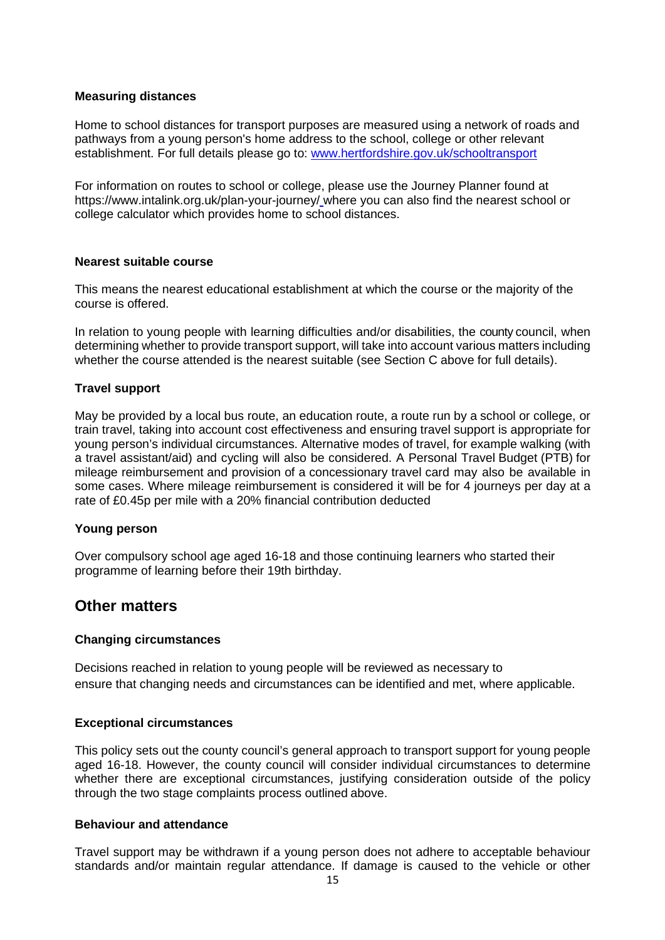### **Measuring distances**

 Home to school distances for transport purposes are measured using a network of roads and pathways from a young person's home address to the school, college or other relevant establishment. For full details please go to: www.hertfordshire.gov.uk/schooltransport

 For information on routes to school or college, please use the Journey Planner found at [https://www.intalink.org.uk/plan-your-journey/ w](http://www.hertfordshire.gov.uk/mapit)here you can also find the nearest school or college calculator which provides home to school distances.

#### **Nearest suitable course**

 This means the nearest educational establishment at which the course or the majority of the course is offered.

 In relation to young people with learning difficulties and/or disabilities, the county council, when determining whether to provide transport support, will take into account various matters including whether the course attended is the nearest suitable (see Section C above for full details).

#### **Travel support**

 May be provided by a local bus route, an education route, a route run by a school or college, or train travel, taking into account cost effectiveness and ensuring travel support is appropriate for young person's individual circumstances. Alternative modes of travel, for example walking (with a travel assistant/aid) and cycling will also be considered. A Personal Travel Budget (PTB) for mileage reimbursement and provision of a concessionary travel card may also be available in some cases. Where mileage reimbursement is considered it will be for 4 journeys per day at a rate of £0.45p per mile with a 20% financial contribution deducted

#### **Young person**

 Over compulsory school age aged 16-18 and those continuing learners who started their programme of learning before their 19th birthday.

## **Other matters**

#### **Changing circumstances**

 Decisions reached in relation to young people will be reviewed as necessary to ensure that changing needs and circumstances can be identified and met, where applicable.

#### **Exceptional circumstances**

 This policy sets out the county council's general approach to transport support for young people aged 16-18. However, the county council will consider individual circumstances to determine whether there are exceptional circumstances, justifying consideration outside of the policy through the two stage complaints process outlined above.

#### **Behaviour and attendance**

 Travel support may be withdrawn if a young person does not adhere to acceptable behaviour standards and/or maintain regular attendance. If damage is caused to the vehicle or other